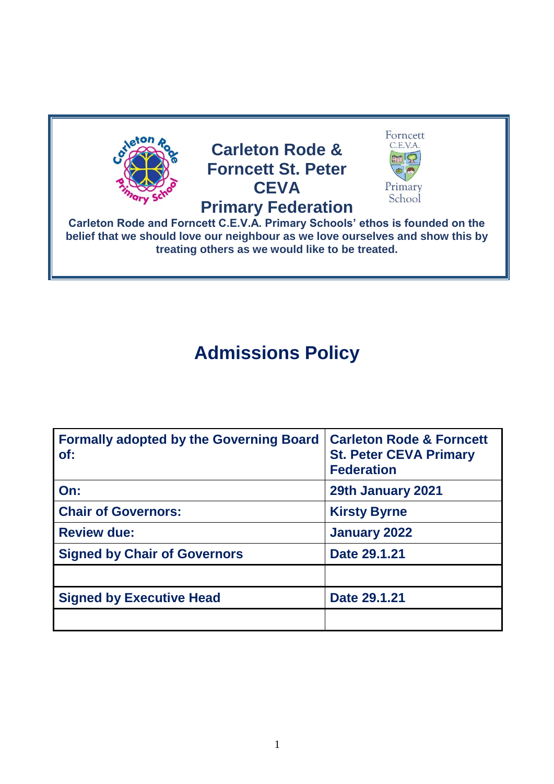

## **Admissions Policy**

| <b>Formally adopted by the Governing Board</b><br>of: | <b>Carleton Rode &amp; Forncett</b><br><b>St. Peter CEVA Primary</b><br><b>Federation</b> |
|-------------------------------------------------------|-------------------------------------------------------------------------------------------|
| On:                                                   | 29th January 2021                                                                         |
| <b>Chair of Governors:</b>                            | <b>Kirsty Byrne</b>                                                                       |
| <b>Review due:</b>                                    | January 2022                                                                              |
| <b>Signed by Chair of Governors</b>                   | Date 29.1.21                                                                              |
|                                                       |                                                                                           |
| <b>Signed by Executive Head</b>                       | Date 29.1.21                                                                              |
|                                                       |                                                                                           |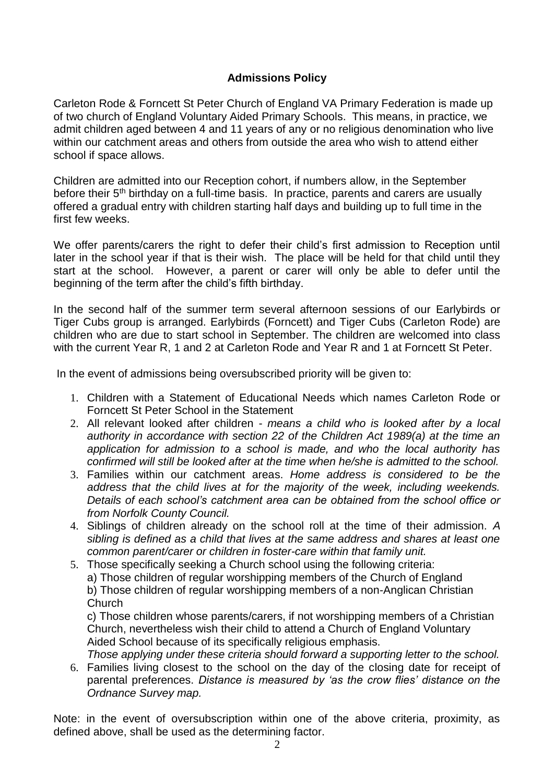## **Admissions Policy**

Carleton Rode & Forncett St Peter Church of England VA Primary Federation is made up of two church of England Voluntary Aided Primary Schools. This means, in practice, we admit children aged between 4 and 11 years of any or no religious denomination who live within our catchment areas and others from outside the area who wish to attend either school if space allows.

Children are admitted into our Reception cohort, if numbers allow, in the September before their 5<sup>th</sup> birthday on a full-time basis. In practice, parents and carers are usually offered a gradual entry with children starting half days and building up to full time in the first few weeks.

We offer parents/carers the right to defer their child's first admission to Reception until later in the school year if that is their wish. The place will be held for that child until they start at the school. However, a parent or carer will only be able to defer until the beginning of the term after the child's fifth birthday.

In the second half of the summer term several afternoon sessions of our Earlybirds or Tiger Cubs group is arranged. Earlybirds (Forncett) and Tiger Cubs (Carleton Rode) are children who are due to start school in September. The children are welcomed into class with the current Year R, 1 and 2 at Carleton Rode and Year R and 1 at Forncett St Peter.

In the event of admissions being oversubscribed priority will be given to:

- 1. Children with a Statement of Educational Needs which names Carleton Rode or Forncett St Peter School in the Statement
- 2. All relevant looked after children *means a child who is looked after by a local authority in accordance with section 22 of the Children Act 1989(a) at the time an application for admission to a school is made, and who the local authority has confirmed will still be looked after at the time when he/she is admitted to the school.*
- 3. Families within our catchment areas. *Home address is considered to be the address that the child lives at for the majority of the week, including weekends. Details of each school's catchment area can be obtained from the school office or from Norfolk County Council.*
- 4. Siblings of children already on the school roll at the time of their admission. *A sibling is defined as a child that lives at the same address and shares at least one common parent/carer or children in foster-care within that family unit.*
- 5. Those specifically seeking a Church school using the following criteria: a) Those children of regular worshipping members of the Church of England b) Those children of regular worshipping members of a non-Anglican Christian Church

c) Those children whose parents/carers, if not worshipping members of a Christian Church, nevertheless wish their child to attend a Church of England Voluntary Aided School because of its specifically religious emphasis.

*Those applying under these criteria should forward a supporting letter to the school.* 6. Families living closest to the school on the day of the closing date for receipt of parental preferences. *Distance is measured by 'as the crow flies' distance on the Ordnance Survey map.*

Note: in the event of oversubscription within one of the above criteria, proximity, as defined above, shall be used as the determining factor.